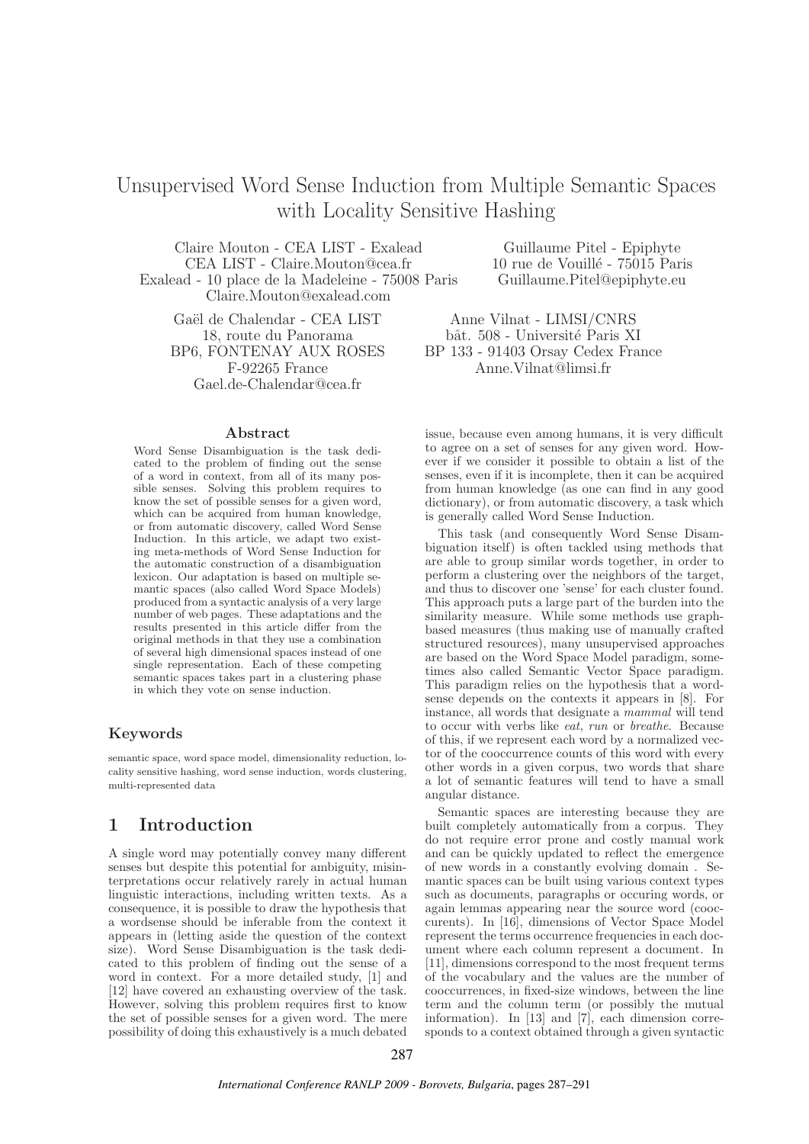# Unsupervised Word Sense Induction from Multiple Semantic Spaces with Locality Sensitive Hashing

Claire Mouton - CEA LIST - Exalead CEA LIST - Claire.Mouton@cea.fr Exalead - 10 place de la Madeleine - 75008 Paris Claire.Mouton@exalead.com

Gaël de Chalendar - CEA LIST 18, route du Panorama BP6, FONTENAY AUX ROSES F-92265 France Gael.de-Chalendar@cea.fr

#### Abstract

Word Sense Disambiguation is the task dedicated to the problem of finding out the sense of a word in context, from all of its many possible senses. Solving this problem requires to know the set of possible senses for a given word, which can be acquired from human knowledge, or from automatic discovery, called Word Sense Induction. In this article, we adapt two existing meta-methods of Word Sense Induction for the automatic construction of a disambiguation lexicon. Our adaptation is based on multiple semantic spaces (also called Word Space Models) produced from a syntactic analysis of a very large number of web pages. These adaptations and the results presented in this article differ from the original methods in that they use a combination of several high dimensional spaces instead of one single representation. Each of these competing semantic spaces takes part in a clustering phase in which they vote on sense induction.

### Keywords

semantic space, word space model, dimensionality reduction, locality sensitive hashing, word sense induction, words clustering, multi-represented data

## 1 Introduction

A single word may potentially convey many different senses but despite this potential for ambiguity, misinterpretations occur relatively rarely in actual human linguistic interactions, including written texts. As a consequence, it is possible to draw the hypothesis that a wordsense should be inferable from the context it appears in (letting aside the question of the context size). Word Sense Disambiguation is the task dedicated to this problem of finding out the sense of a word in context. For a more detailed study, [1] and [12] have covered an exhausting overview of the task. However, solving this problem requires first to know the set of possible senses for a given word. The mere possibility of doing this exhaustively is a much debated

Guillaume Pitel - Epiphyte 10 rue de Vouill´e - 75015 Paris Guillaume.Pitel@epiphyte.eu

Anne Vilnat - LIMSI/CNRS bât. 508 - Université Paris XI BP 133 - 91403 Orsay Cedex France Anne.Vilnat@limsi.fr

issue, because even among humans, it is very difficult to agree on a set of senses for any given word. However if we consider it possible to obtain a list of the senses, even if it is incomplete, then it can be acquired from human knowledge (as one can find in any good dictionary), or from automatic discovery, a task which is generally called Word Sense Induction.

This task (and consequently Word Sense Disambiguation itself) is often tackled using methods that are able to group similar words together, in order to perform a clustering over the neighbors of the target, and thus to discover one 'sense' for each cluster found. This approach puts a large part of the burden into the similarity measure. While some methods use graphbased measures (thus making use of manually crafted structured resources), many unsupervised approaches are based on the Word Space Model paradigm, sometimes also called Semantic Vector Space paradigm. This paradigm relies on the hypothesis that a wordsense depends on the contexts it appears in [8]. For instance, all words that designate a mammal will tend to occur with verbs like eat, run or breathe. Because of this, if we represent each word by a normalized vector of the cooccurrence counts of this word with every other words in a given corpus, two words that share a lot of semantic features will tend to have a small angular distance.

Semantic spaces are interesting because they are built completely automatically from a corpus. They do not require error prone and costly manual work and can be quickly updated to reflect the emergence of new words in a constantly evolving domain . Semantic spaces can be built using various context types such as documents, paragraphs or occuring words, or again lemmas appearing near the source word (cooccurents). In [16], dimensions of Vector Space Model represent the terms occurrence frequencies in each document where each column represent a document. In [11], dimensions correspond to the most frequent terms of the vocabulary and the values are the number of cooccurrences, in fixed-size windows, between the line term and the column term (or possibly the mutual information). In [13] and [7], each dimension corresponds to a context obtained through a given syntactic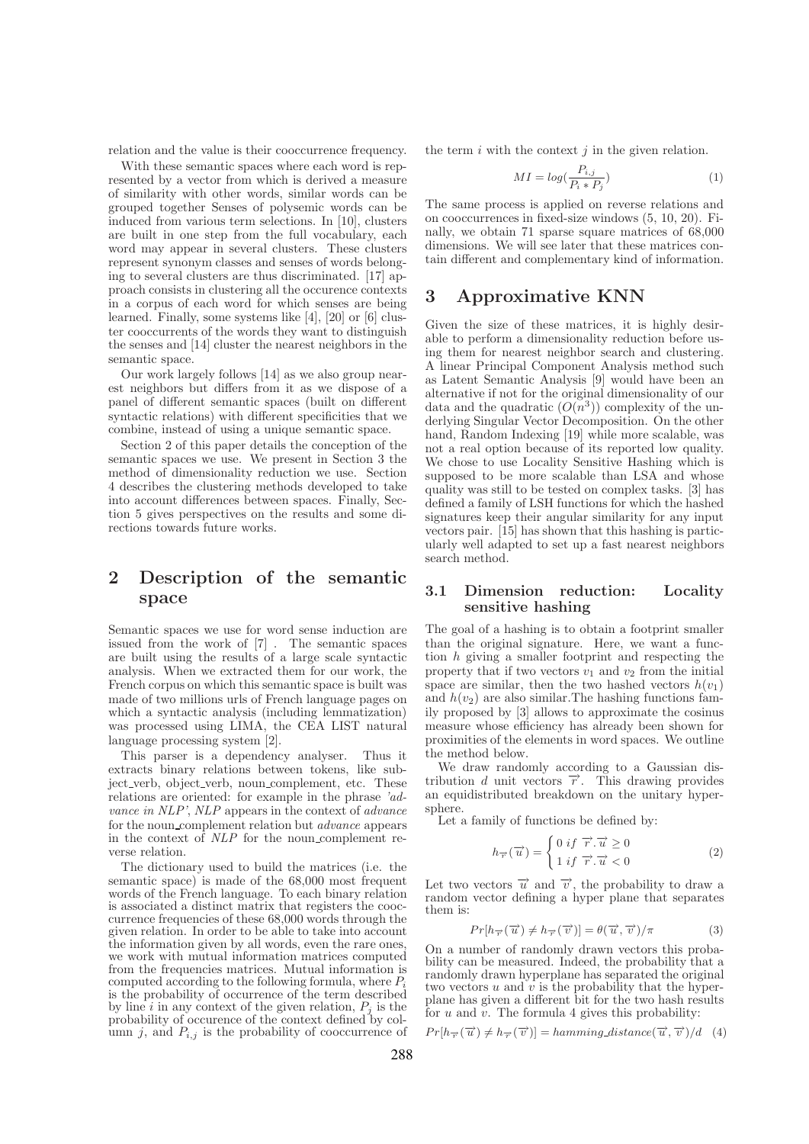relation and the value is their cooccurrence frequency.

With these semantic spaces where each word is represented by a vector from which is derived a measure of similarity with other words, similar words can be grouped together Senses of polysemic words can be induced from various term selections. In [10], clusters are built in one step from the full vocabulary, each word may appear in several clusters. These clusters represent synonym classes and senses of words belonging to several clusters are thus discriminated. [17] approach consists in clustering all the occurence contexts in a corpus of each word for which senses are being learned. Finally, some systems like [4], [20] or [6] cluster cooccurrents of the words they want to distinguish the senses and [14] cluster the nearest neighbors in the semantic space.

Our work largely follows [14] as we also group nearest neighbors but differs from it as we dispose of a panel of different semantic spaces (built on different syntactic relations) with different specificities that we combine, instead of using a unique semantic space.

Section 2 of this paper details the conception of the semantic spaces we use. We present in Section 3 the method of dimensionality reduction we use. Section 4 describes the clustering methods developed to take into account differences between spaces. Finally, Section 5 gives perspectives on the results and some directions towards future works.

## 2 Description of the semantic space

Semantic spaces we use for word sense induction are issued from the work of [7] . The semantic spaces are built using the results of a large scale syntactic analysis. When we extracted them for our work, the French corpus on which this semantic space is built was made of two millions urls of French language pages on which a syntactic analysis (including lemmatization) was processed using LIMA, the CEA LIST natural language processing system [2].

This parser is a dependency analyser. Thus it extracts binary relations between tokens, like subject verb, object verb, noun complement, etc. These relations are oriented: for example in the phrase 'advance in NLP', NLP appears in the context of advance for the noun complement relation but advance appears in the context of NLP for the noun complement reverse relation.

The dictionary used to build the matrices (i.e. the semantic space) is made of the 68,000 most frequent words of the French language. To each binary relation is associated a distinct matrix that registers the cooccurrence frequencies of these 68,000 words through the given relation. In order to be able to take into account the information given by all words, even the rare ones, we work with mutual information matrices computed from the frequencies matrices. Mutual information is computed according to the following formula, where  $P_i$ is the probability of occurrence of the term described by line i in any context of the given relation,  $P_j$  is the probability of occurence of the context defined by column j, and  $P_{i,j}$  is the probability of cooccurrence of the term  $i$  with the context  $j$  in the given relation.

$$
MI = log(\frac{P_{i,j}}{P_i * P_j})
$$
\n<sup>(1)</sup>

The same process is applied on reverse relations and on cooccurrences in fixed-size windows (5, 10, 20). Finally, we obtain 71 sparse square matrices of 68,000 dimensions. We will see later that these matrices contain different and complementary kind of information.

## 3 Approximative KNN

Given the size of these matrices, it is highly desirable to perform a dimensionality reduction before using them for nearest neighbor search and clustering. A linear Principal Component Analysis method such as Latent Semantic Analysis [9] would have been an alternative if not for the original dimensionality of our data and the quadratic  $(O(n^3))$  complexity of the underlying Singular Vector Decomposition. On the other hand, Random Indexing [19] while more scalable, was not a real option because of its reported low quality. We chose to use Locality Sensitive Hashing which is supposed to be more scalable than LSA and whose quality was still to be tested on complex tasks. [3] has defined a family of LSH functions for which the hashed signatures keep their angular similarity for any input vectors pair. [15] has shown that this hashing is particularly well adapted to set up a fast nearest neighbors search method.

### 3.1 Dimension reduction: Locality sensitive hashing

The goal of a hashing is to obtain a footprint smaller than the original signature. Here, we want a function h giving a smaller footprint and respecting the property that if two vectors  $v_1$  and  $v_2$  from the initial space are similar, then the two hashed vectors  $h(v_1)$ and  $h(v_2)$  are also similar. The hashing functions family proposed by [3] allows to approximate the cosinus measure whose efficiency has already been shown for proximities of the elements in word spaces. We outline the method below.

We draw randomly according to a Gaussian distribution d unit vectors  $\vec{r}$ . This drawing provides an equidistributed breakdown on the unitary hypersphere.

Let a family of functions be defined by:

$$
h_{\overrightarrow{r}}(\overrightarrow{u}) = \begin{cases} 0 & \text{if } \overrightarrow{r} \cdot \overrightarrow{u} \ge 0 \\ 1 & \text{if } \overrightarrow{r} \cdot \overrightarrow{u} < 0 \end{cases}
$$
 (2)

Let two vectors  $\vec{u}$  and  $\vec{v}$ , the probability to draw a random vector defining a hyper plane that separates them is:

$$
Pr[h_{\overrightarrow{r}}(\overrightarrow{u}) \neq h_{\overrightarrow{r}}(\overrightarrow{v})] = \theta(\overrightarrow{u}, \overrightarrow{v})/\pi
$$
 (3)

On a number of randomly drawn vectors this probability can be measured. Indeed, the probability that a randomly drawn hyperplane has separated the original two vectors u and  $\vec{v}$  is the probability that the hyperplane has given a different bit for the two hash results for  $u$  and  $v$ . The formula 4 gives this probability:

$$
Pr[h_{\overrightarrow{r}}(\overrightarrow{u}) \neq h_{\overrightarrow{r}}(\overrightarrow{v})] = \text{hamming distance}(\overrightarrow{u}, \overrightarrow{v})/d \quad (4)
$$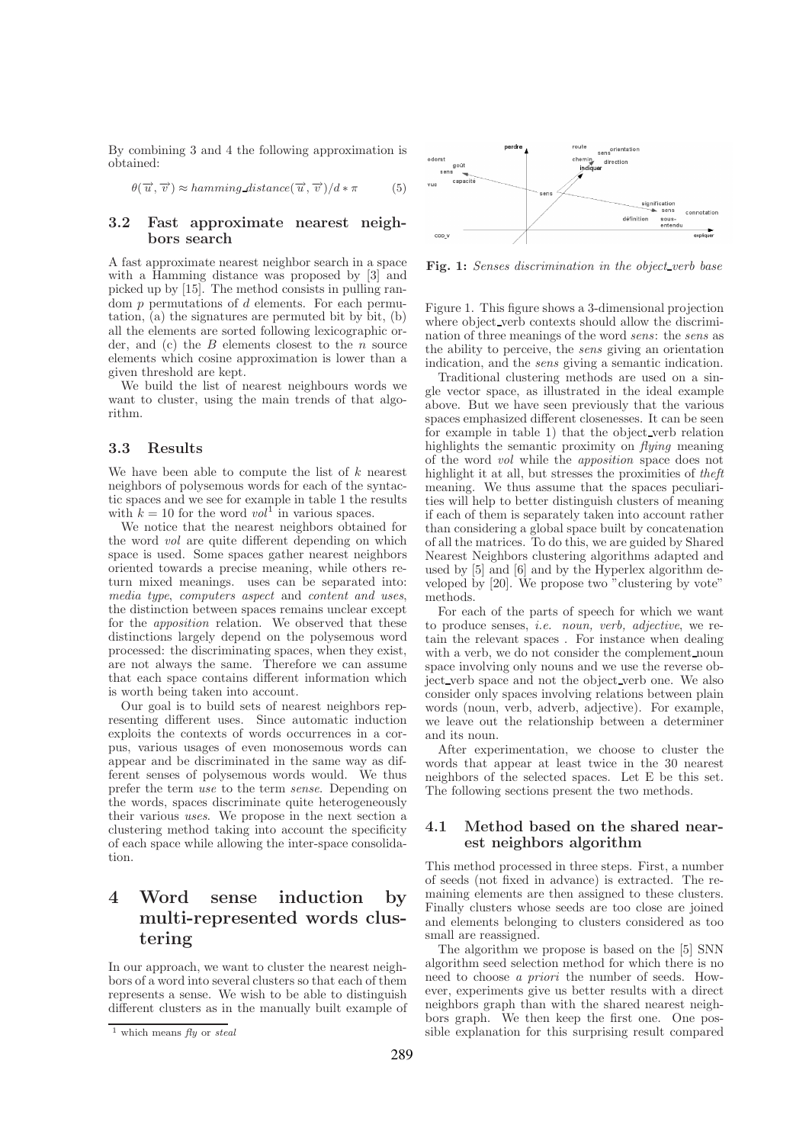By combining 3 and 4 the following approximation is obtained:

$$
\theta(\overrightarrow{u}, \overrightarrow{v}) \approx \text{hamming\_distance}(\overrightarrow{u}, \overrightarrow{v})/d * \pi \tag{5}
$$

### 3.2 Fast approximate nearest neighbors search

A fast approximate nearest neighbor search in a space with a Hamming distance was proposed by  $\lceil 3 \rceil$  and picked up by [15]. The method consists in pulling random  $p$  permutations of  $d$  elements. For each permutation, (a) the signatures are permuted bit by bit, (b) all the elements are sorted following lexicographic order, and  $(c)$  the  $B$  elements closest to the  $n$  source elements which cosine approximation is lower than a given threshold are kept.

We build the list of nearest neighbours words we want to cluster, using the main trends of that algorithm.

#### 3.3 Results

We have been able to compute the list of  $k$  nearest neighbors of polysemous words for each of the syntactic spaces and we see for example in table 1 the results with  $k = 10$  for the word  $vol^1$  in various spaces.

We notice that the nearest neighbors obtained for the word vol are quite different depending on which space is used. Some spaces gather nearest neighbors oriented towards a precise meaning, while others return mixed meanings. uses can be separated into: media type, computers aspect and content and uses, the distinction between spaces remains unclear except for the apposition relation. We observed that these distinctions largely depend on the polysemous word processed: the discriminating spaces, when they exist, are not always the same. Therefore we can assume that each space contains different information which is worth being taken into account.

Our goal is to build sets of nearest neighbors representing different uses. Since automatic induction exploits the contexts of words occurrences in a corpus, various usages of even monosemous words can appear and be discriminated in the same way as different senses of polysemous words would. We thus prefer the term use to the term sense. Depending on the words, spaces discriminate quite heterogeneously their various uses. We propose in the next section a clustering method taking into account the specificity of each space while allowing the inter-space consolidation.

## 4 Word sense induction by multi-represented words clustering

In our approach, we want to cluster the nearest neighbors of a word into several clusters so that each of them represents a sense. We wish to be able to distinguish different clusters as in the manually built example of



Fig. 1: Senses discrimination in the object-verb base

Figure 1. This figure shows a 3-dimensional projection where object\_verb contexts should allow the discrimination of three meanings of the word sens: the sens as the ability to perceive, the sens giving an orientation indication, and the sens giving a semantic indication.

Traditional clustering methods are used on a single vector space, as illustrated in the ideal example above. But we have seen previously that the various spaces emphasized different closenesses. It can be seen for example in table 1) that the object verb relation highlights the semantic proximity on *flying* meaning of the word vol while the apposition space does not highlight it at all, but stresses the proximities of theft meaning. We thus assume that the spaces peculiarities will help to better distinguish clusters of meaning if each of them is separately taken into account rather than considering a global space built by concatenation of all the matrices. To do this, we are guided by Shared Nearest Neighbors clustering algorithms adapted and used by [5] and [6] and by the Hyperlex algorithm developed by [20]. We propose two "clustering by vote" methods.

For each of the parts of speech for which we want to produce senses, *i.e.* noun, verb, adjective, we retain the relevant spaces . For instance when dealing with a verb, we do not consider the complement noun space involving only nouns and we use the reverse object verb space and not the object verb one. We also consider only spaces involving relations between plain words (noun, verb, adverb, adjective). For example, we leave out the relationship between a determiner and its noun.

After experimentation, we choose to cluster the words that appear at least twice in the 30 nearest neighbors of the selected spaces. Let E be this set. The following sections present the two methods.

### 4.1 Method based on the shared nearest neighbors algorithm

This method processed in three steps. First, a number of seeds (not fixed in advance) is extracted. The remaining elements are then assigned to these clusters. Finally clusters whose seeds are too close are joined and elements belonging to clusters considered as too small are reassigned.

The algorithm we propose is based on the [5] SNN algorithm seed selection method for which there is no need to choose a priori the number of seeds. However, experiments give us better results with a direct neighbors graph than with the shared nearest neighbors graph. We then keep the first one. One possible explanation for this surprising result compared

<sup>&</sup>lt;sup>1</sup> which means  $fly$  or steal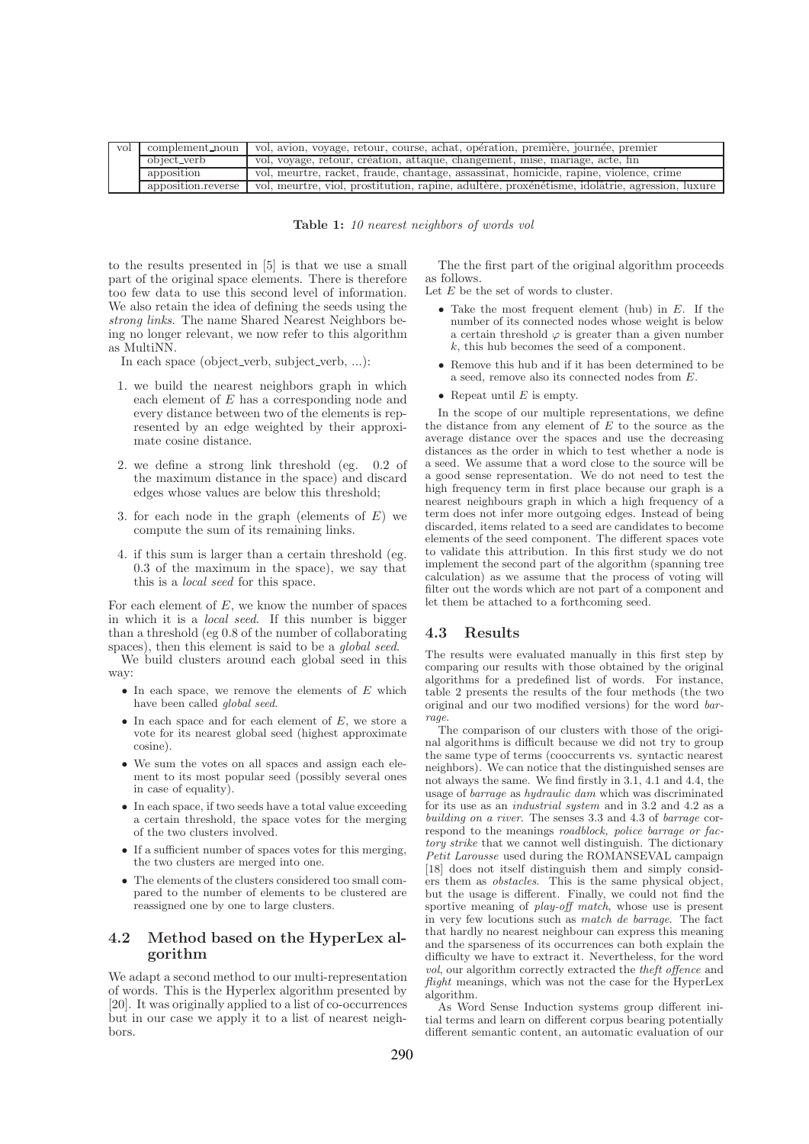| vol | complement_noun    | vol, avion, voyage, retour, course, achat, opération, première, journée, première              |  |
|-----|--------------------|------------------------------------------------------------------------------------------------|--|
|     | object_verb        | vol, voyage, retour, création, attaque, changement, mise, mariage, acte, fin                   |  |
|     | apposition         | vol, meurtre, racket, fraude, chantage, assassinat, homicide, rapine, violence, crime          |  |
|     | apposition.reverse | vol, meurtre, viol, prostitution, rapine, adultère, proxénétisme, idolâtrie, agression, luxure |  |

Table 1: 10 nearest neighbors of words vol

to the results presented in [5] is that we use a small part of the original space elements. There is therefore too few data to use this second level of information. We also retain the idea of defining the seeds using the strong links. The name Shared Nearest Neighbors being no longer relevant, we now refer to this algorithm as MultiNN.

In each space (object verb, subject verb, ...):

- 1. we build the nearest neighbors graph in which each element of E has a corresponding node and every distance between two of the elements is represented by an edge weighted by their approximate cosine distance.
- 2. we define a strong link threshold (eg. 0.2 of the maximum distance in the space) and discard edges whose values are below this threshold;
- 3. for each node in the graph (elements of  $E$ ) we compute the sum of its remaining links.
- 4. if this sum is larger than a certain threshold (eg. 0.3 of the maximum in the space), we say that this is a local seed for this space.

For each element of  $E$ , we know the number of spaces in which it is a local seed. If this number is bigger than a threshold (eg 0.8 of the number of collaborating spaces), then this element is said to be a *global seed*.

We build clusters around each global seed in this way:

- In each space, we remove the elements of  $E$  which have been called global seed.
- In each space and for each element of  $E$ , we store a vote for its nearest global seed (highest approximate cosine).
- We sum the votes on all spaces and assign each element to its most popular seed (possibly several ones in case of equality).
- In each space, if two seeds have a total value exceeding a certain threshold, the space votes for the merging of the two clusters involved.
- If a sufficient number of spaces votes for this merging, the two clusters are merged into one.
- The elements of the clusters considered too small compared to the number of elements to be clustered are reassigned one by one to large clusters.

#### 4.2 Method based on the HyperLex algorithm

We adapt a second method to our multi-representation of words. This is the Hyperlex algorithm presented by [20]. It was originally applied to a list of co-occurrences but in our case we apply it to a list of nearest neighbors.

The the first part of the original algorithm proceeds as follows.

Let  $E$  be the set of words to cluster.

- Take the most frequent element (hub) in  $E$ . If the number of its connected nodes whose weight is below a certain threshold  $\varphi$  is greater than a given number k, this hub becomes the seed of a component.
- Remove this hub and if it has been determined to be a seed, remove also its connected nodes from E.
- Repeat until  $E$  is empty.

In the scope of our multiple representations, we define the distance from any element of  $E$  to the source as the average distance over the spaces and use the decreasing distances as the order in which to test whether a node is a seed. We assume that a word close to the source will be a good sense representation. We do not need to test the high frequency term in first place because our graph is a nearest neighbours graph in which a high frequency of a term does not infer more outgoing edges. Instead of being discarded, items related to a seed are candidates to become elements of the seed component. The different spaces vote to validate this attribution. In this first study we do not implement the second part of the algorithm (spanning tree calculation) as we assume that the process of voting will filter out the words which are not part of a component and let them be attached to a forthcoming seed.

#### 4.3 Results

The results were evaluated manually in this first step by comparing our results with those obtained by the original algorithms for a predefined list of words. For instance, table 2 presents the results of the four methods (the two original and our two modified versions) for the word barrage.

The comparison of our clusters with those of the original algorithms is difficult because we did not try to group the same type of terms (cooccurrents vs. syntactic nearest neighbors). We can notice that the distinguished senses are not always the same. We find firstly in 3.1, 4.1 and 4.4, the usage of barrage as hydraulic dam which was discriminated for its use as an industrial system and in 3.2 and 4.2 as a building on a river. The senses 3.3 and 4.3 of barrage correspond to the meanings *roadblock*, *police barrage or fac*tory strike that we cannot well distinguish. The dictionary Petit Larousse used during the ROMANSEVAL campaign [18] does not itself distinguish them and simply considers them as obstacles. This is the same physical object, but the usage is different. Finally, we could not find the sportive meaning of *play-off match*, whose use is present in very few locutions such as match de barrage. The fact that hardly no nearest neighbour can express this meaning and the sparseness of its occurrences can both explain the difficulty we have to extract it. Nevertheless, for the word vol, our algorithm correctly extracted the theft offence and flight meanings, which was not the case for the HyperLex algorithm.

As Word Sense Induction systems group different initial terms and learn on different corpus bearing potentially different semantic content, an automatic evaluation of our